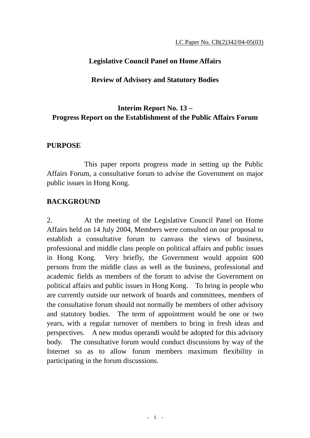## **Legislative Council Panel on Home Affairs**

#### **Review of Advisory and Statutory Bodies**

# **Interim Report No. 13 – Progress Report on the Establishment of the Public Affairs Forum**

#### **PURPOSE**

 This paper reports progress made in setting up the Public Affairs Forum, a consultative forum to advise the Government on major public issues in Hong Kong.

## **BACKGROUND**

2. At the meeting of the Legislative Council Panel on Home Affairs held on 14 July 2004, Members were consulted on our proposal to establish a consultative forum to canvass the views of business, professional and middle class people on political affairs and public issues in Hong Kong. Very briefly, the Government would appoint 600 persons from the middle class as well as the business, professional and academic fields as members of the forum to advise the Government on political affairs and public issues in Hong Kong. To bring in people who are currently outside our network of boards and committees, members of the consultative forum should not normally be members of other advisory and statutory bodies. The term of appointment would be one or two years, with a regular turnover of members to bring in fresh ideas and perspectives. A new modus operandi would be adopted for this advisory body. The consultative forum would conduct discussions by way of the Internet so as to allow forum members maximum flexibility in participating in the forum discussions.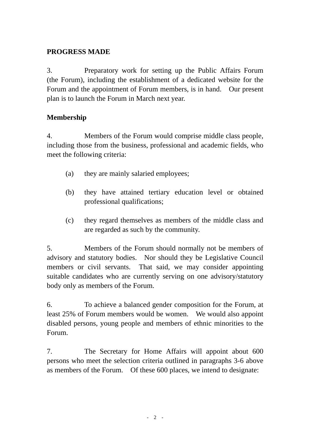## **PROGRESS MADE**

3. Preparatory work for setting up the Public Affairs Forum (the Forum), including the establishment of a dedicated website for the Forum and the appointment of Forum members, is in hand. Our present plan is to launch the Forum in March next year.

## **Membership**

4. Members of the Forum would comprise middle class people, including those from the business, professional and academic fields, who meet the following criteria:

- (a) they are mainly salaried employees;
- (b) they have attained tertiary education level or obtained professional qualifications;
- (c) they regard themselves as members of the middle class and are regarded as such by the community.

5. Members of the Forum should normally not be members of advisory and statutory bodies. Nor should they be Legislative Council members or civil servants. That said, we may consider appointing suitable candidates who are currently serving on one advisory/statutory body only as members of the Forum.

6. To achieve a balanced gender composition for the Forum, at least 25% of Forum members would be women. We would also appoint disabled persons, young people and members of ethnic minorities to the Forum.

7. The Secretary for Home Affairs will appoint about 600 persons who meet the selection criteria outlined in paragraphs 3-6 above as members of the Forum. Of these 600 places, we intend to designate: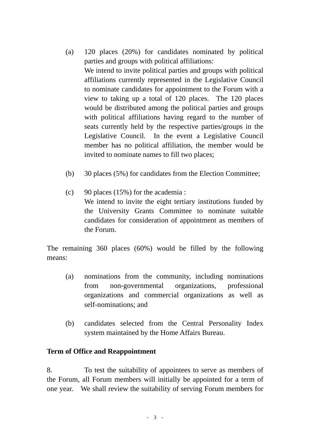- (a) 120 places (20%) for candidates nominated by political parties and groups with political affiliations: We intend to invite political parties and groups with political affiliations currently represented in the Legislative Council to nominate candidates for appointment to the Forum with a view to taking up a total of 120 places. The 120 places would be distributed among the political parties and groups with political affiliations having regard to the number of seats currently held by the respective parties/groups in the Legislative Council. In the event a Legislative Council member has no political affiliation, the member would be invited to nominate names to fill two places;
- (b) 30 places (5%) for candidates from the Election Committee;
- (c) 90 places (15%) for the academia : We intend to invite the eight tertiary institutions funded by the University Grants Committee to nominate suitable candidates for consideration of appointment as members of the Forum.

The remaining 360 places (60%) would be filled by the following means:

- (a) nominations from the community, including nominations from non-governmental organizations, professional organizations and commercial organizations as well as self-nominations; and
- (b) candidates selected from the Central Personality Index system maintained by the Home Affairs Bureau.

## **Term of Office and Reappointment**

8. To test the suitability of appointees to serve as members of the Forum, all Forum members will initially be appointed for a term of one year. We shall review the suitability of serving Forum members for